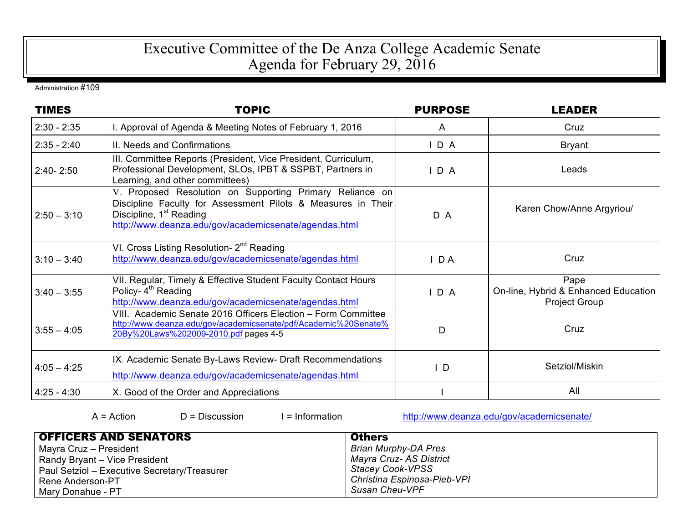## Executive Committee of the De Anza College Academic Senate Agenda for February 29, 2016

Administration #109

| <b>TIMES</b>  | <b>TOPIC</b>                                                                                                                                                                                                             | <b>PURPOSE</b> | <b>LEADER</b>                                                        |
|---------------|--------------------------------------------------------------------------------------------------------------------------------------------------------------------------------------------------------------------------|----------------|----------------------------------------------------------------------|
| $2:30 - 2:35$ | I. Approval of Agenda & Meeting Notes of February 1, 2016                                                                                                                                                                | A              | Cruz                                                                 |
| $2:35 - 2:40$ | II. Needs and Confirmations                                                                                                                                                                                              | $I$ D A        | <b>Bryant</b>                                                        |
| $2:40 - 2:50$ | III. Committee Reports (President, Vice President, Curriculum,<br>Professional Development, SLOs, IPBT & SSPBT, Partners in<br>Learning, and other committees)                                                           | $I$ D A        | Leads                                                                |
| $2:50 - 3:10$ | V. Proposed Resolution on Supporting Primary Reliance on<br>Discipline Faculty for Assessment Pilots & Measures in Their<br>Discipline, 1 <sup>st</sup> Reading<br>http://www.deanza.edu/gov/academicsenate/agendas.html | D A            | Karen Chow/Anne Argyriou/                                            |
| $3:10 - 3:40$ | VI. Cross Listing Resolution- 2 <sup>nd</sup> Reading<br>http://www.deanza.edu/gov/academicsenate/agendas.html                                                                                                           | $I$ DA         | Cruz                                                                 |
| $3:40 - 3:55$ | VII. Regular, Timely & Effective Student Faculty Contact Hours<br>Policy- 4 <sup>th</sup> Reading<br>http://www.deanza.edu/gov/academicsenate/agendas.html                                                               | D A            | Pape<br>On-line, Hybrid & Enhanced Education<br><b>Project Group</b> |
| $3:55 - 4:05$ | VIII. Academic Senate 2016 Officers Election - Form Committee<br>http://www.deanza.edu/gov/academicsenate/pdf/Academic%20Senate%<br>20By%20Laws%202009-2010.pdf pages 4-5                                                | D              | Cruz                                                                 |
| $4:05 - 4:25$ | IX. Academic Senate By-Laws Review- Draft Recommendations<br>http://www.deanza.edu/gov/academicsenate/agendas.html                                                                                                       | $\mathsf{L}$   | Setziol/Miskin                                                       |
| $4:25 - 4:30$ | X. Good of the Order and Appreciations                                                                                                                                                                                   |                | All                                                                  |

A = Action D = Discussion I = Information http://www.deanza.edu/gov/academicsenate/

| <b>OFFICERS AND SENATORS</b>                 | <b>Others</b>               |
|----------------------------------------------|-----------------------------|
| Mayra Cruz - President                       | <b>Brian Murphy-DA Pres</b> |
| Randy Bryant - Vice President                | Mayra Cruz- AS District     |
| Paul Setziol - Executive Secretary/Treasurer | <b>Stacey Cook-VPSS</b>     |
| Rene Anderson-PT                             | Christina Espinosa-Pieb-VPI |
| Mary Donahue - PT                            | Susan Cheu-VPF              |